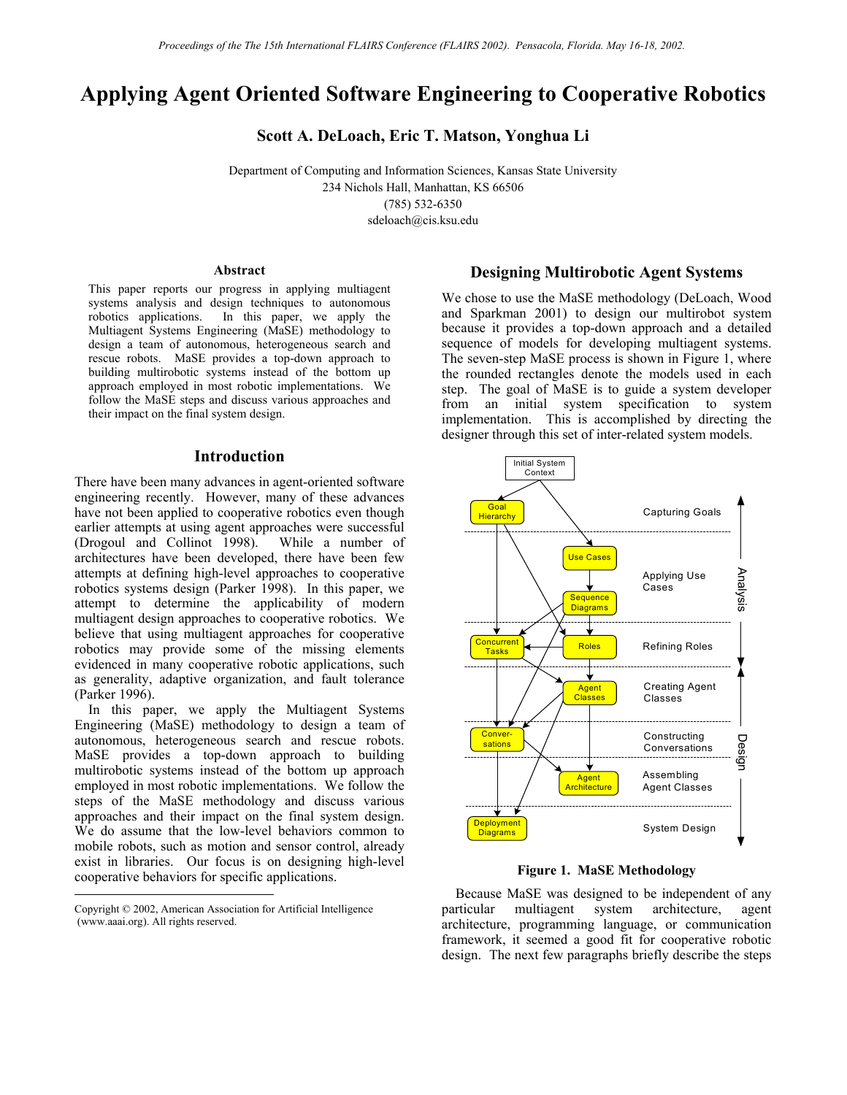# **Applying Agent Oriented Software Engineering to Cooperative Robotics**

**Scott A. DeLoach, Eric T. Matson, Yonghua Li** 

Department of Computing and Information Sciences, Kansas State University 234 Nichols Hall, Manhattan, KS 66506 (785) 532-6350 sdeloach@cis.ksu.edu

#### **Abstract**

This paper reports our progress in applying multiagent systems analysis and design techniques to autonomous robotics applications. In this paper, we apply the Multiagent Systems Engineering (MaSE) methodology to design a team of autonomous, heterogeneous search and rescue robots. MaSE provides a top-down approach to building multirobotic systems instead of the bottom up approach employed in most robotic implementations. We follow the MaSE steps and discuss various approaches and their impact on the final system design.

## **Introduction**

There have been many advances in agent-oriented software engineering recently. However, many of these advances have not been applied to cooperative robotics even though earlier attempts at using agent approaches were successful (Drogoul and Collinot 1998). While a number of architectures have been developed, there have been few attempts at defining high-level approaches to cooperative robotics systems design (Parker 1998). In this paper, we attempt to determine the applicability of modern multiagent design approaches to cooperative robotics. We believe that using multiagent approaches for cooperative robotics may provide some of the missing elements evidenced in many cooperative robotic applications, such as generality, adaptive organization, and fault tolerance (Parker 1996).

 In this paper, we apply the Multiagent Systems Engineering (MaSE) methodology to design a team of autonomous, heterogeneous search and rescue robots. MaSE provides a top-down approach to building multirobotic systems instead of the bottom up approach employed in most robotic implementations. We follow the steps of the MaSE methodology and discuss various approaches and their impact on the final system design. We do assume that the low-level behaviors common to mobile robots, such as motion and sensor control, already exist in libraries. Our focus is on designing high-level cooperative behaviors for specific applications.

-

### **Designing Multirobotic Agent Systems**

We chose to use the MaSE methodology (DeLoach, Wood and Sparkman 2001) to design our multirobot system because it provides a top-down approach and a detailed sequence of models for developing multiagent systems. The seven-step MaSE process is shown in Figure 1, where the rounded rectangles denote the models used in each step. The goal of MaSE is to guide a system developer from an initial system specification to system implementation. This is accomplished by directing the designer through this set of inter-related system models.



**Figure 1. MaSE Methodology** 

 Because MaSE was designed to be independent of any particular multiagent system architecture, agent architecture, programming language, or communication framework, it seemed a good fit for cooperative robotic design. The next few paragraphs briefly describe the steps

Copyright © 2002, American Association for Artificial Intelligence (www.aaai.org). All rights reserved.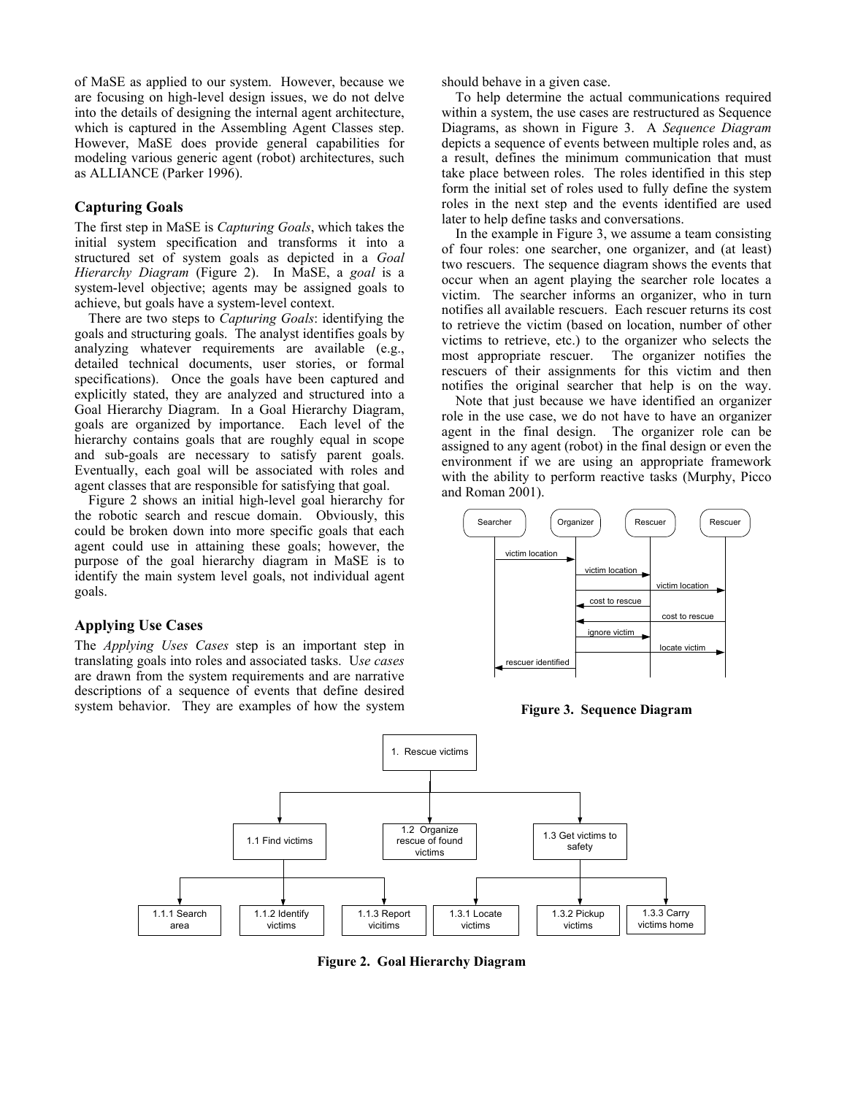of MaSE as applied to our system. However, because we are focusing on high-level design issues, we do not delve into the details of designing the internal agent architecture, which is captured in the Assembling Agent Classes step. However, MaSE does provide general capabilities for modeling various generic agent (robot) architectures, such as ALLIANCE (Parker 1996).

# **Capturing Goals**

The first step in MaSE is *Capturing Goals*, which takes the initial system specification and transforms it into a structured set of system goals as depicted in a *Goal Hierarchy Diagram* (Figure 2). In MaSE, a *goal* is a system-level objective; agents may be assigned goals to achieve, but goals have a system-level context.

 There are two steps to *Capturing Goals*: identifying the goals and structuring goals. The analyst identifies goals by analyzing whatever requirements are available (e.g., detailed technical documents, user stories, or formal specifications). Once the goals have been captured and explicitly stated, they are analyzed and structured into a Goal Hierarchy Diagram. In a Goal Hierarchy Diagram, goals are organized by importance. Each level of the hierarchy contains goals that are roughly equal in scope and sub-goals are necessary to satisfy parent goals. Eventually, each goal will be associated with roles and agent classes that are responsible for satisfying that goal.

 Figure 2 shows an initial high-level goal hierarchy for the robotic search and rescue domain. Obviously, this could be broken down into more specific goals that each agent could use in attaining these goals; however, the purpose of the goal hierarchy diagram in MaSE is to identify the main system level goals, not individual agent goals.

# **Applying Use Cases**

The *Applying Uses Cases* step is an important step in translating goals into roles and associated tasks. U*se cases* are drawn from the system requirements and are narrative descriptions of a sequence of events that define desired system behavior. They are examples of how the system should behave in a given case.

 To help determine the actual communications required within a system, the use cases are restructured as Sequence Diagrams, as shown in Figure 3. A *Sequence Diagram* depicts a sequence of events between multiple roles and, as a result, defines the minimum communication that must take place between roles. The roles identified in this step form the initial set of roles used to fully define the system roles in the next step and the events identified are used later to help define tasks and conversations.

 In the example in Figure 3, we assume a team consisting of four roles: one searcher, one organizer, and (at least) two rescuers. The sequence diagram shows the events that occur when an agent playing the searcher role locates a victim. The searcher informs an organizer, who in turn notifies all available rescuers. Each rescuer returns its cost to retrieve the victim (based on location, number of other victims to retrieve, etc.) to the organizer who selects the most appropriate rescuer. The organizer notifies the rescuers of their assignments for this victim and then notifies the original searcher that help is on the way.

 Note that just because we have identified an organizer role in the use case, we do not have to have an organizer agent in the final design. The organizer role can be assigned to any agent (robot) in the final design or even the environment if we are using an appropriate framework with the ability to perform reactive tasks (Murphy, Picco and Roman 2001).



**Figure 3. Sequence Diagram** 



**Figure 2. Goal Hierarchy Diagram**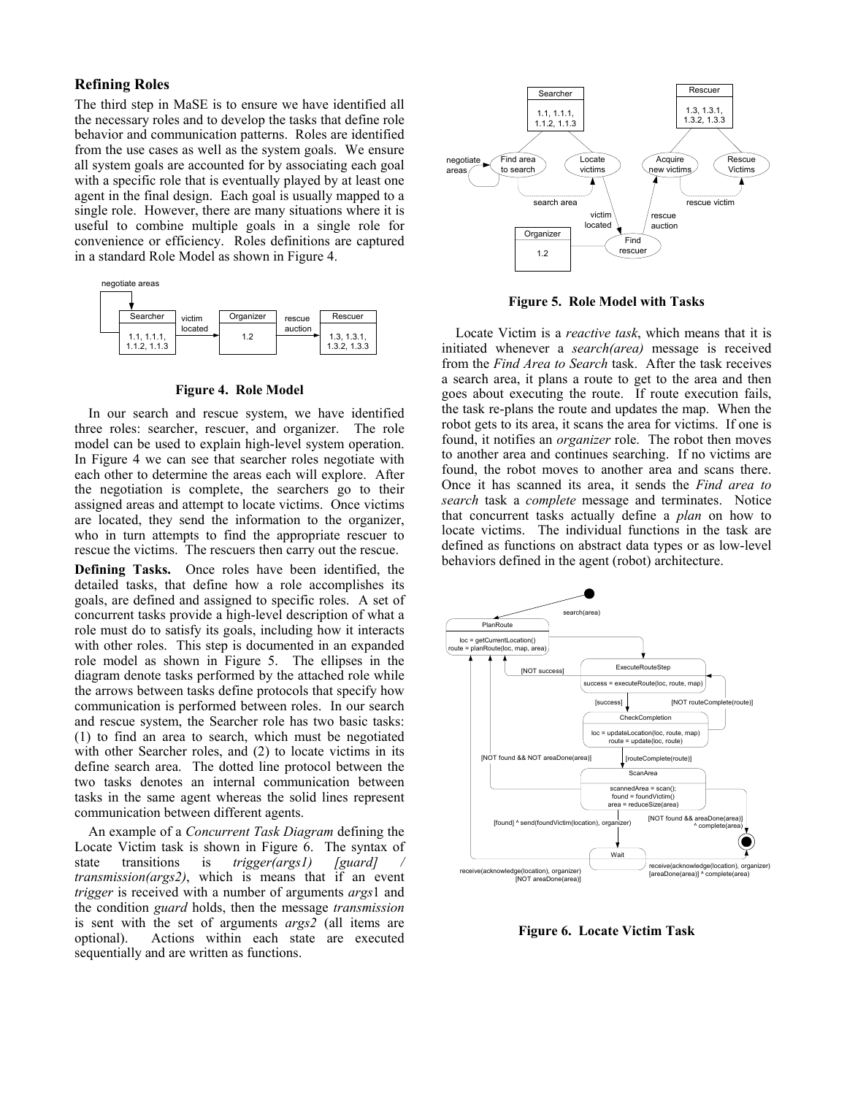# **Refining Roles**

The third step in MaSE is to ensure we have identified all the necessary roles and to develop the tasks that define role behavior and communication patterns. Roles are identified from the use cases as well as the system goals. We ensure all system goals are accounted for by associating each goal with a specific role that is eventually played by at least one agent in the final design. Each goal is usually mapped to a single role. However, there are many situations where it is useful to combine multiple goals in a single role for convenience or efficiency. Roles definitions are captured in a standard Role Model as shown in Figure 4.



#### **Figure 4. Role Model**

 In our search and rescue system, we have identified three roles: searcher, rescuer, and organizer. The role model can be used to explain high-level system operation. In Figure 4 we can see that searcher roles negotiate with each other to determine the areas each will explore. After the negotiation is complete, the searchers go to their assigned areas and attempt to locate victims. Once victims are located, they send the information to the organizer, who in turn attempts to find the appropriate rescuer to rescue the victims. The rescuers then carry out the rescue.

**Defining Tasks.** Once roles have been identified, the detailed tasks, that define how a role accomplishes its goals, are defined and assigned to specific roles. A set of concurrent tasks provide a high-level description of what a role must do to satisfy its goals, including how it interacts with other roles. This step is documented in an expanded role model as shown in Figure 5. The ellipses in the diagram denote tasks performed by the attached role while the arrows between tasks define protocols that specify how communication is performed between roles. In our search and rescue system, the Searcher role has two basic tasks: (1) to find an area to search, which must be negotiated with other Searcher roles, and (2) to locate victims in its define search area. The dotted line protocol between the two tasks denotes an internal communication between tasks in the same agent whereas the solid lines represent communication between different agents.

 An example of a *Concurrent Task Diagram* defining the Locate Victim task is shown in Figure 6. The syntax of state transitions is *trigger(args1)* [guard] / state transitions is *trigger(args1) transmission(args2)*, which is means that if an event *trigger* is received with a number of arguments *args*1 and the condition *guard* holds, then the message *transmission* is sent with the set of arguments *args2* (all items are optional). Actions within each state are executed sequentially and are written as functions.



**Figure 5. Role Model with Tasks** 

 Locate Victim is a *reactive task*, which means that it is initiated whenever a *search(area)* message is received from the *Find Area to Search* task. After the task receives a search area, it plans a route to get to the area and then goes about executing the route. If route execution fails, the task re-plans the route and updates the map. When the robot gets to its area, it scans the area for victims. If one is found, it notifies an *organizer* role. The robot then moves to another area and continues searching. If no victims are found, the robot moves to another area and scans there. Once it has scanned its area, it sends the *Find area to search* task a *complete* message and terminates. Notice that concurrent tasks actually define a *plan* on how to locate victims. The individual functions in the task are defined as functions on abstract data types or as low-level behaviors defined in the agent (robot) architecture.



**Figure 6. Locate Victim Task**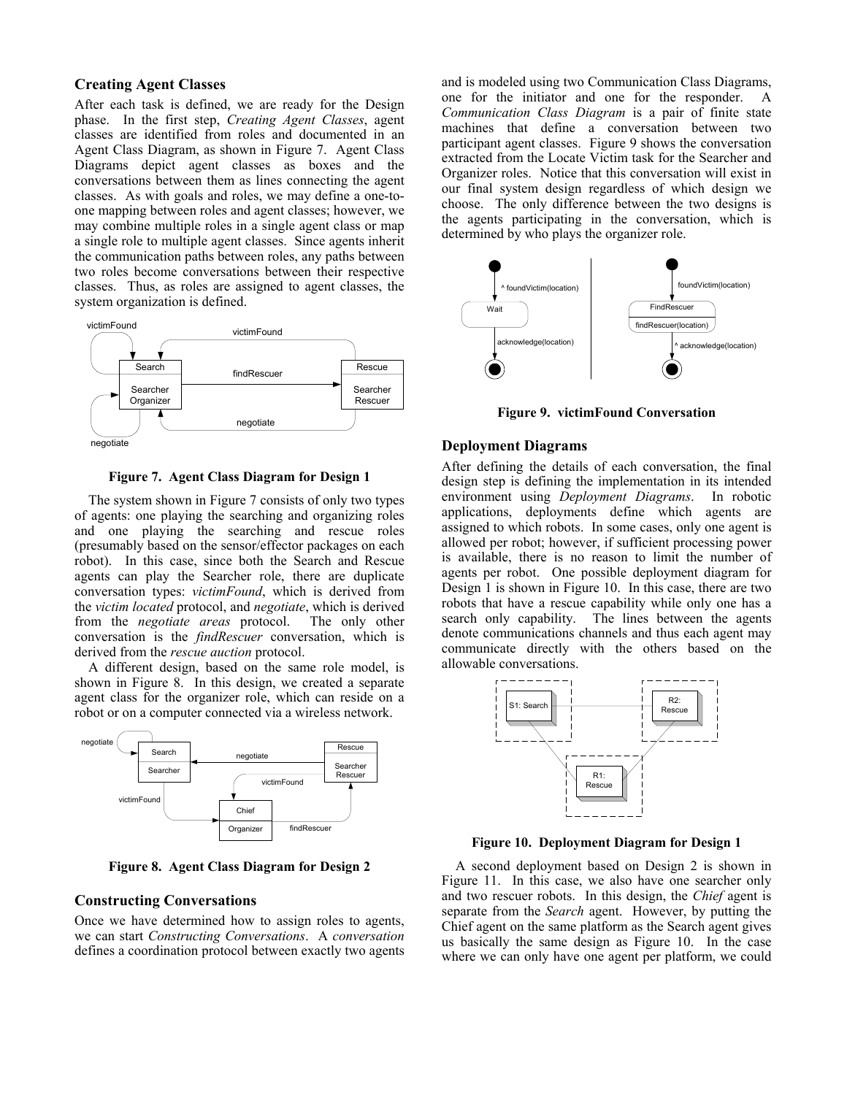# **Creating Agent Classes**

After each task is defined, we are ready for the Design phase. In the first step, *Creating Agent Classes*, agent classes are identified from roles and documented in an Agent Class Diagram, as shown in Figure 7. Agent Class Diagrams depict agent classes as boxes and the conversations between them as lines connecting the agent classes. As with goals and roles, we may define a one-toone mapping between roles and agent classes; however, we may combine multiple roles in a single agent class or map a single role to multiple agent classes. Since agents inherit the communication paths between roles, any paths between two roles become conversations between their respective classes. Thus, as roles are assigned to agent classes, the system organization is defined.



**Figure 7. Agent Class Diagram for Design 1** 

 The system shown in Figure 7 consists of only two types of agents: one playing the searching and organizing roles and one playing the searching and rescue roles (presumably based on the sensor/effector packages on each robot). In this case, since both the Search and Rescue agents can play the Searcher role, there are duplicate conversation types: *victimFound*, which is derived from the *victim located* protocol, and *negotiate*, which is derived from the *negotiate areas* protocol. The only other conversation is the *findRescuer* conversation, which is derived from the *rescue auction* protocol.

 A different design, based on the same role model, is shown in Figure 8. In this design, we created a separate agent class for the organizer role, which can reside on a robot or on a computer connected via a wireless network.



**Figure 8. Agent Class Diagram for Design 2** 

### **Constructing Conversations**

Once we have determined how to assign roles to agents, we can start *Constructing Conversations*. A *conversation* defines a coordination protocol between exactly two agents and is modeled using two Communication Class Diagrams, one for the initiator and one for the responder. A *Communication Class Diagram* is a pair of finite state machines that define a conversation between two participant agent classes. Figure 9 shows the conversation extracted from the Locate Victim task for the Searcher and Organizer roles. Notice that this conversation will exist in our final system design regardless of which design we choose. The only difference between the two designs is the agents participating in the conversation, which is determined by who plays the organizer role.



**Figure 9. victimFound Conversation** 

### **Deployment Diagrams**

After defining the details of each conversation, the final design step is defining the implementation in its intended environment using *Deployment Diagrams*. In robotic applications, deployments define which agents are assigned to which robots. In some cases, only one agent is allowed per robot; however, if sufficient processing power is available, there is no reason to limit the number of agents per robot. One possible deployment diagram for Design 1 is shown in Figure 10. In this case, there are two robots that have a rescue capability while only one has a search only capability. The lines between the agents denote communications channels and thus each agent may communicate directly with the others based on the allowable conversations.



**Figure 10. Deployment Diagram for Design 1** 

 A second deployment based on Design 2 is shown in Figure 11. In this case, we also have one searcher only and two rescuer robots. In this design, the *Chief* agent is separate from the *Search* agent. However, by putting the Chief agent on the same platform as the Search agent gives us basically the same design as Figure 10. In the case where we can only have one agent per platform, we could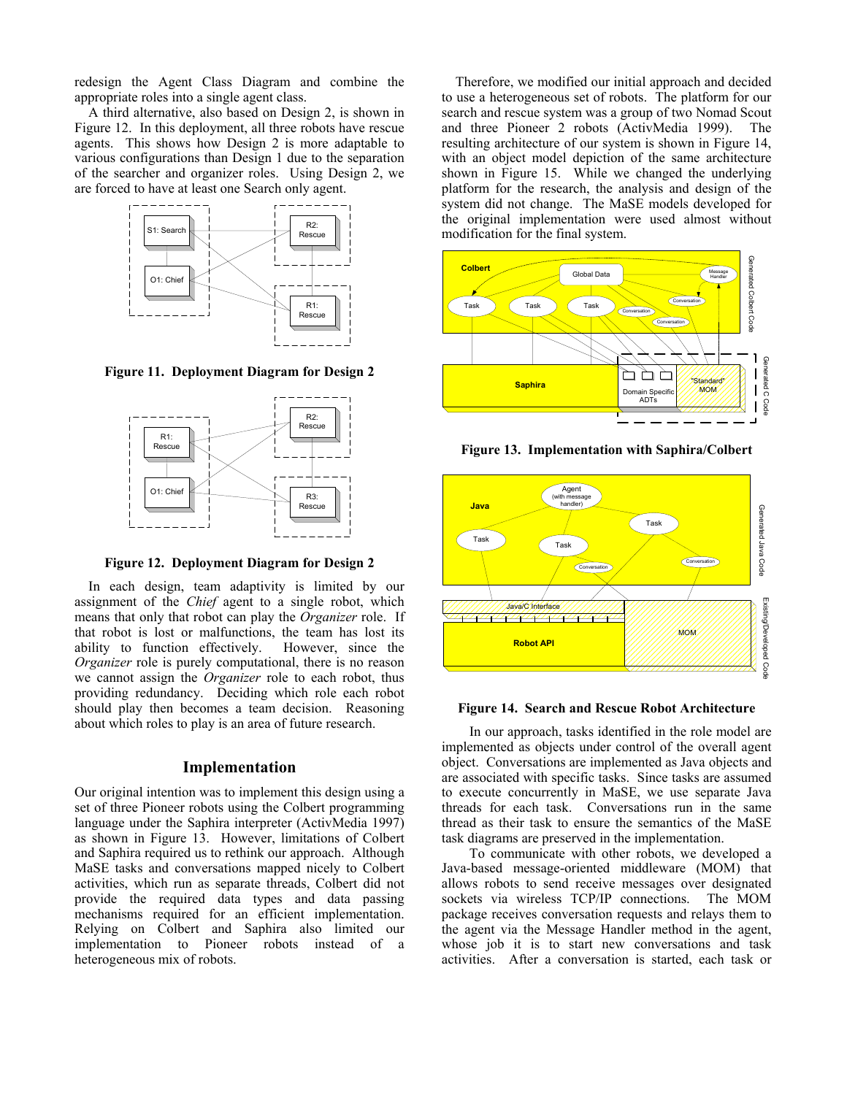redesign the Agent Class Diagram and combine the appropriate roles into a single agent class.

 A third alternative, also based on Design 2, is shown in Figure 12. In this deployment, all three robots have rescue agents. This shows how Design 2 is more adaptable to various configurations than Design 1 due to the separation of the searcher and organizer roles. Using Design 2, we are forced to have at least one Search only agent.



**Figure 11. Deployment Diagram for Design 2** 



**Figure 12. Deployment Diagram for Design 2** 

 In each design, team adaptivity is limited by our assignment of the *Chief* agent to a single robot, which means that only that robot can play the *Organizer* role. If that robot is lost or malfunctions, the team has lost its ability to function effectively. However, since the *Organizer* role is purely computational, there is no reason we cannot assign the *Organizer* role to each robot, thus providing redundancy. Deciding which role each robot should play then becomes a team decision. Reasoning about which roles to play is an area of future research.

# **Implementation**

Our original intention was to implement this design using a set of three Pioneer robots using the Colbert programming language under the Saphira interpreter (ActivMedia 1997) as shown in Figure 13. However, limitations of Colbert and Saphira required us to rethink our approach. Although MaSE tasks and conversations mapped nicely to Colbert activities, which run as separate threads, Colbert did not provide the required data types and data passing mechanisms required for an efficient implementation. Relying on Colbert and Saphira also limited our implementation to Pioneer robots instead of a heterogeneous mix of robots.

 Therefore, we modified our initial approach and decided to use a heterogeneous set of robots. The platform for our search and rescue system was a group of two Nomad Scout and three Pioneer 2 robots (ActivMedia 1999). The resulting architecture of our system is shown in Figure 14, with an object model depiction of the same architecture shown in Figure 15. While we changed the underlying platform for the research, the analysis and design of the system did not change. The MaSE models developed for the original implementation were used almost without modification for the final system.



**Figure 13. Implementation with Saphira/Colbert** 



#### **Figure 14. Search and Rescue Robot Architecture**

 In our approach, tasks identified in the role model are implemented as objects under control of the overall agent object. Conversations are implemented as Java objects and are associated with specific tasks. Since tasks are assumed to execute concurrently in MaSE, we use separate Java threads for each task. Conversations run in the same thread as their task to ensure the semantics of the MaSE task diagrams are preserved in the implementation.

 To communicate with other robots, we developed a Java-based message-oriented middleware (MOM) that allows robots to send receive messages over designated sockets via wireless TCP/IP connections. The MOM package receives conversation requests and relays them to the agent via the Message Handler method in the agent, whose job it is to start new conversations and task activities. After a conversation is started, each task or